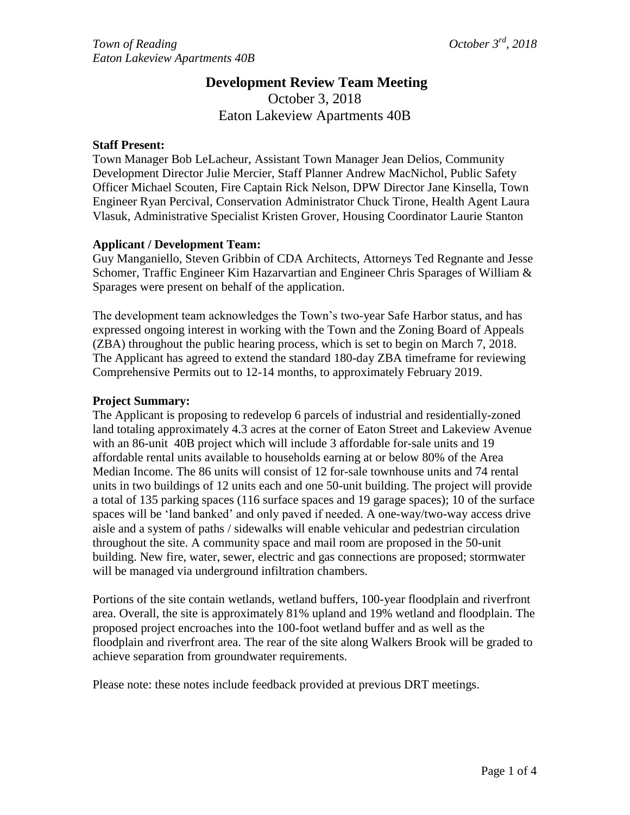## **Development Review Team Meeting** October 3, 2018 Eaton Lakeview Apartments 40B

## **Staff Present:**

Town Manager Bob LeLacheur, Assistant Town Manager Jean Delios, Community Development Director Julie Mercier, Staff Planner Andrew MacNichol, Public Safety Officer Michael Scouten, Fire Captain Rick Nelson, DPW Director Jane Kinsella, Town Engineer Ryan Percival, Conservation Administrator Chuck Tirone, Health Agent Laura Vlasuk, Administrative Specialist Kristen Grover, Housing Coordinator Laurie Stanton

## **Applicant / Development Team:**

Guy Manganiello, Steven Gribbin of CDA Architects, Attorneys Ted Regnante and Jesse Schomer, Traffic Engineer Kim Hazarvartian and Engineer Chris Sparages of William & Sparages were present on behalf of the application.

The development team acknowledges the Town's two-year Safe Harbor status, and has expressed ongoing interest in working with the Town and the Zoning Board of Appeals (ZBA) throughout the public hearing process, which is set to begin on March 7, 2018. The Applicant has agreed to extend the standard 180-day ZBA timeframe for reviewing Comprehensive Permits out to 12-14 months, to approximately February 2019.

## **Project Summary:**

The Applicant is proposing to redevelop 6 parcels of industrial and residentially-zoned land totaling approximately 4.3 acres at the corner of Eaton Street and Lakeview Avenue with an 86-unit 40B project which will include 3 affordable for-sale units and 19 affordable rental units available to households earning at or below 80% of the Area Median Income. The 86 units will consist of 12 for-sale townhouse units and 74 rental units in two buildings of 12 units each and one 50-unit building. The project will provide a total of 135 parking spaces (116 surface spaces and 19 garage spaces); 10 of the surface spaces will be 'land banked' and only paved if needed. A one-way/two-way access drive aisle and a system of paths / sidewalks will enable vehicular and pedestrian circulation throughout the site. A community space and mail room are proposed in the 50-unit building. New fire, water, sewer, electric and gas connections are proposed; stormwater will be managed via underground infiltration chambers.

Portions of the site contain wetlands, wetland buffers, 100-year floodplain and riverfront area. Overall, the site is approximately 81% upland and 19% wetland and floodplain. The proposed project encroaches into the 100-foot wetland buffer and as well as the floodplain and riverfront area. The rear of the site along Walkers Brook will be graded to achieve separation from groundwater requirements.

Please note: these notes include feedback provided at previous DRT meetings.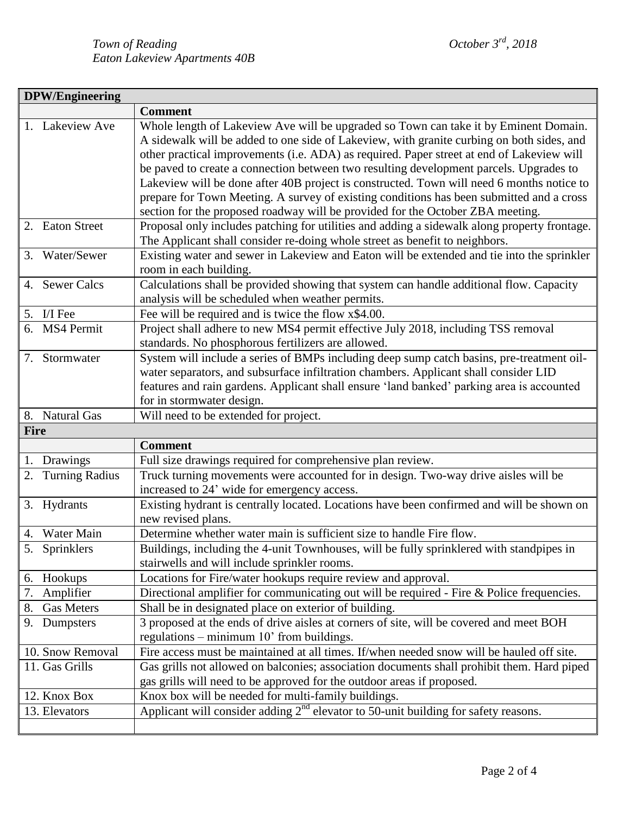| <b>DPW/Engineering</b>      |                                                                                                                                                                                                                                                                                                                                                                          |  |  |
|-----------------------------|--------------------------------------------------------------------------------------------------------------------------------------------------------------------------------------------------------------------------------------------------------------------------------------------------------------------------------------------------------------------------|--|--|
|                             | <b>Comment</b>                                                                                                                                                                                                                                                                                                                                                           |  |  |
| 1. Lakeview Ave             | Whole length of Lakeview Ave will be upgraded so Town can take it by Eminent Domain.<br>A sidewalk will be added to one side of Lakeview, with granite curbing on both sides, and<br>other practical improvements (i.e. ADA) as required. Paper street at end of Lakeview will<br>be paved to create a connection between two resulting development parcels. Upgrades to |  |  |
|                             | Lakeview will be done after 40B project is constructed. Town will need 6 months notice to<br>prepare for Town Meeting. A survey of existing conditions has been submitted and a cross<br>section for the proposed roadway will be provided for the October ZBA meeting.                                                                                                  |  |  |
| 2. Eaton Street             | Proposal only includes patching for utilities and adding a sidewalk along property frontage.<br>The Applicant shall consider re-doing whole street as benefit to neighbors.                                                                                                                                                                                              |  |  |
| Water/Sewer<br>3.           | Existing water and sewer in Lakeview and Eaton will be extended and tie into the sprinkler<br>room in each building.                                                                                                                                                                                                                                                     |  |  |
| <b>Sewer Calcs</b><br>4.    | Calculations shall be provided showing that system can handle additional flow. Capacity<br>analysis will be scheduled when weather permits.                                                                                                                                                                                                                              |  |  |
| I/I Fee<br>5.               | Fee will be required and is twice the flow x\$4.00.                                                                                                                                                                                                                                                                                                                      |  |  |
| 6. MS4 Permit               | Project shall adhere to new MS4 permit effective July 2018, including TSS removal<br>standards. No phosphorous fertilizers are allowed.                                                                                                                                                                                                                                  |  |  |
| Stormwater<br>7.            | System will include a series of BMPs including deep sump catch basins, pre-treatment oil-<br>water separators, and subsurface infiltration chambers. Applicant shall consider LID<br>features and rain gardens. Applicant shall ensure 'land banked' parking area is accounted<br>for in stormwater design.                                                              |  |  |
| 8. Natural Gas              | Will need to be extended for project.                                                                                                                                                                                                                                                                                                                                    |  |  |
| <b>Fire</b>                 |                                                                                                                                                                                                                                                                                                                                                                          |  |  |
|                             | <b>Comment</b>                                                                                                                                                                                                                                                                                                                                                           |  |  |
| Drawings<br>1.              | Full size drawings required for comprehensive plan review.                                                                                                                                                                                                                                                                                                               |  |  |
| <b>Turning Radius</b><br>2. | Truck turning movements were accounted for in design. Two-way drive aisles will be<br>increased to 24' wide for emergency access.                                                                                                                                                                                                                                        |  |  |
| 3. Hydrants                 | Existing hydrant is centrally located. Locations have been confirmed and will be shown on                                                                                                                                                                                                                                                                                |  |  |
|                             | new revised plans.                                                                                                                                                                                                                                                                                                                                                       |  |  |
| Water Main<br>4.            | Determine whether water main is sufficient size to handle Fire flow.                                                                                                                                                                                                                                                                                                     |  |  |
| 5.<br>Sprinklers            | Buildings, including the 4-unit Townhouses, will be fully sprinklered with standpipes in<br>stairwells and will include sprinkler rooms.                                                                                                                                                                                                                                 |  |  |
| Hookups<br>6.               | Locations for Fire/water hookups require review and approval.                                                                                                                                                                                                                                                                                                            |  |  |
| 7.<br>Amplifier             | Directional amplifier for communicating out will be required - Fire & Police frequencies.                                                                                                                                                                                                                                                                                |  |  |
| 8.<br><b>Gas Meters</b>     | Shall be in designated place on exterior of building.                                                                                                                                                                                                                                                                                                                    |  |  |
| 9.<br>Dumpsters             | 3 proposed at the ends of drive aisles at corners of site, will be covered and meet BOH<br>regulations - minimum 10' from buildings.                                                                                                                                                                                                                                     |  |  |
| 10. Snow Removal            | Fire access must be maintained at all times. If/when needed snow will be hauled off site.                                                                                                                                                                                                                                                                                |  |  |
| 11. Gas Grills              | Gas grills not allowed on balconies; association documents shall prohibit them. Hard piped<br>gas grills will need to be approved for the outdoor areas if proposed.                                                                                                                                                                                                     |  |  |
| 12. Knox Box                | Knox box will be needed for multi-family buildings.<br>Applicant will consider adding $2nd$ elevator to 50-unit building for safety reasons.                                                                                                                                                                                                                             |  |  |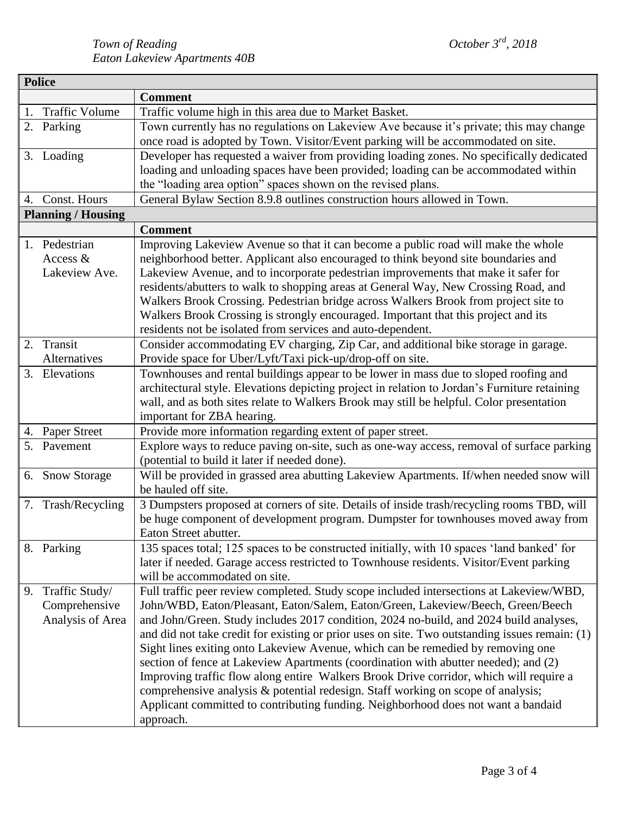|                           | <b>Police</b>         |                                                                                                |  |  |
|---------------------------|-----------------------|------------------------------------------------------------------------------------------------|--|--|
|                           |                       | <b>Comment</b>                                                                                 |  |  |
| 1.                        | <b>Traffic Volume</b> | Traffic volume high in this area due to Market Basket.                                         |  |  |
|                           | 2. Parking            | Town currently has no regulations on Lakeview Ave because it's private; this may change        |  |  |
|                           |                       | once road is adopted by Town. Visitor/Event parking will be accommodated on site.              |  |  |
|                           | 3. Loading            | Developer has requested a waiver from providing loading zones. No specifically dedicated       |  |  |
|                           |                       | loading and unloading spaces have been provided; loading can be accommodated within            |  |  |
|                           |                       | the "loading area option" spaces shown on the revised plans.                                   |  |  |
| 4.                        | Const. Hours          | General Bylaw Section 8.9.8 outlines construction hours allowed in Town.                       |  |  |
| <b>Planning / Housing</b> |                       |                                                                                                |  |  |
|                           |                       | <b>Comment</b>                                                                                 |  |  |
|                           | 1. Pedestrian         | Improving Lakeview Avenue so that it can become a public road will make the whole              |  |  |
|                           | Access $&$            | neighborhood better. Applicant also encouraged to think beyond site boundaries and             |  |  |
|                           | Lakeview Ave.         | Lakeview Avenue, and to incorporate pedestrian improvements that make it safer for             |  |  |
|                           |                       | residents/abutters to walk to shopping areas at General Way, New Crossing Road, and            |  |  |
|                           |                       | Walkers Brook Crossing. Pedestrian bridge across Walkers Brook from project site to            |  |  |
|                           |                       | Walkers Brook Crossing is strongly encouraged. Important that this project and its             |  |  |
|                           |                       | residents not be isolated from services and auto-dependent.                                    |  |  |
| 2.                        | Transit               | Consider accommodating EV charging, Zip Car, and additional bike storage in garage.            |  |  |
|                           | Alternatives          | Provide space for Uber/Lyft/Taxi pick-up/drop-off on site.                                     |  |  |
|                           | 3. Elevations         | Townhouses and rental buildings appear to be lower in mass due to sloped roofing and           |  |  |
|                           |                       | architectural style. Elevations depicting project in relation to Jordan's Furniture retaining  |  |  |
|                           |                       | wall, and as both sites relate to Walkers Brook may still be helpful. Color presentation       |  |  |
|                           |                       | important for ZBA hearing.                                                                     |  |  |
|                           | 4. Paper Street       | Provide more information regarding extent of paper street.                                     |  |  |
|                           | 5. Pavement           | Explore ways to reduce paving on-site, such as one-way access, removal of surface parking      |  |  |
|                           |                       | (potential to build it later if needed done).                                                  |  |  |
|                           | 6. Snow Storage       | Will be provided in grassed area abutting Lakeview Apartments. If/when needed snow will        |  |  |
|                           |                       | be hauled off site.                                                                            |  |  |
|                           | 7. Trash/Recycling    | 3 Dumpsters proposed at corners of site. Details of inside trash/recycling rooms TBD, will     |  |  |
|                           |                       | be huge component of development program. Dumpster for townhouses moved away from              |  |  |
|                           |                       | Eaton Street abutter.                                                                          |  |  |
|                           | 8. Parking            | 135 spaces total; 125 spaces to be constructed initially, with 10 spaces 'land banked' for     |  |  |
|                           |                       | later if needed. Garage access restricted to Townhouse residents. Visitor/Event parking        |  |  |
|                           |                       | will be accommodated on site.                                                                  |  |  |
| 9.                        | Traffic Study/        | Full traffic peer review completed. Study scope included intersections at Lakeview/WBD,        |  |  |
|                           | Comprehensive         | John/WBD, Eaton/Pleasant, Eaton/Salem, Eaton/Green, Lakeview/Beech, Green/Beech                |  |  |
|                           | Analysis of Area      | and John/Green. Study includes 2017 condition, 2024 no-build, and 2024 build analyses,         |  |  |
|                           |                       | and did not take credit for existing or prior uses on site. Two outstanding issues remain: (1) |  |  |
|                           |                       | Sight lines exiting onto Lakeview Avenue, which can be remedied by removing one                |  |  |
|                           |                       | section of fence at Lakeview Apartments (coordination with abutter needed); and (2)            |  |  |
|                           |                       | Improving traffic flow along entire Walkers Brook Drive corridor, which will require a         |  |  |
|                           |                       | comprehensive analysis & potential redesign. Staff working on scope of analysis;               |  |  |
|                           |                       | Applicant committed to contributing funding. Neighborhood does not want a bandaid              |  |  |
|                           |                       | approach.                                                                                      |  |  |